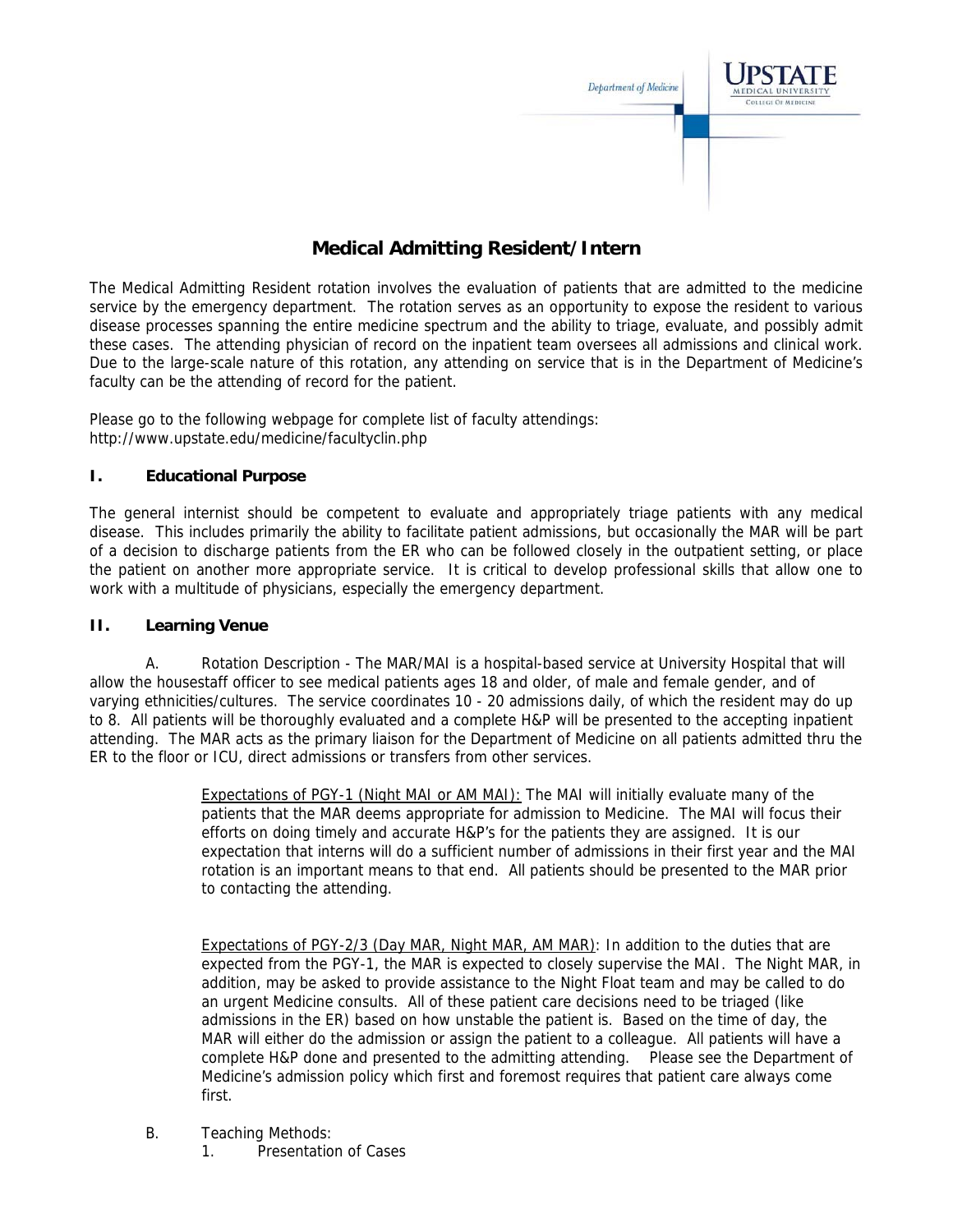

# **Medical Admitting Resident/Intern**

The Medical Admitting Resident rotation involves the evaluation of patients that are admitted to the medicine service by the emergency department. The rotation serves as an opportunity to expose the resident to various disease processes spanning the entire medicine spectrum and the ability to triage, evaluate, and possibly admit these cases. The attending physician of record on the inpatient team oversees all admissions and clinical work. Due to the large-scale nature of this rotation, any attending on service that is in the Department of Medicine's faculty can be the attending of record for the patient.

Please go to the following webpage for complete list of faculty attendings: http://www.upstate.edu/medicine/facultyclin.php

## **I. Educational Purpose**

The general internist should be competent to evaluate and appropriately triage patients with any medical disease. This includes primarily the ability to facilitate patient admissions, but occasionally the MAR will be part of a decision to discharge patients from the ER who can be followed closely in the outpatient setting, or place the patient on another more appropriate service. It is critical to develop professional skills that allow one to work with a multitude of physicians, especially the emergency department.

#### **II. Learning Venue**

A. Rotation Description - The MAR/MAI is a hospital-based service at University Hospital that will allow the housestaff officer to see medical patients ages 18 and older, of male and female gender, and of varying ethnicities/cultures. The service coordinates 10 - 20 admissions daily, of which the resident may do up to 8. All patients will be thoroughly evaluated and a complete H&P will be presented to the accepting inpatient attending. The MAR acts as the primary liaison for the Department of Medicine on all patients admitted thru the ER to the floor or ICU, direct admissions or transfers from other services.

> Expectations of PGY-1 (Night MAI or AM MAI): The MAI will initially evaluate many of the patients that the MAR deems appropriate for admission to Medicine. The MAI will focus their efforts on doing timely and accurate H&P's for the patients they are assigned. It is our expectation that interns will do a sufficient number of admissions in their first year and the MAI rotation is an important means to that end. All patients should be presented to the MAR prior to contacting the attending.

> Expectations of PGY-2/3 (Day MAR, Night MAR, AM MAR): In addition to the duties that are expected from the PGY-1, the MAR is expected to closely supervise the MAI. The Night MAR, in addition, may be asked to provide assistance to the Night Float team and may be called to do an urgent Medicine consults. All of these patient care decisions need to be triaged (like admissions in the ER) based on how unstable the patient is. Based on the time of day, the MAR will either do the admission or assign the patient to a colleague. All patients will have a complete H&P done and presented to the admitting attending. Please see the Department of Medicine's admission policy which first and foremost requires that patient care always come first.

- B. Teaching Methods:
	- 1. Presentation of Cases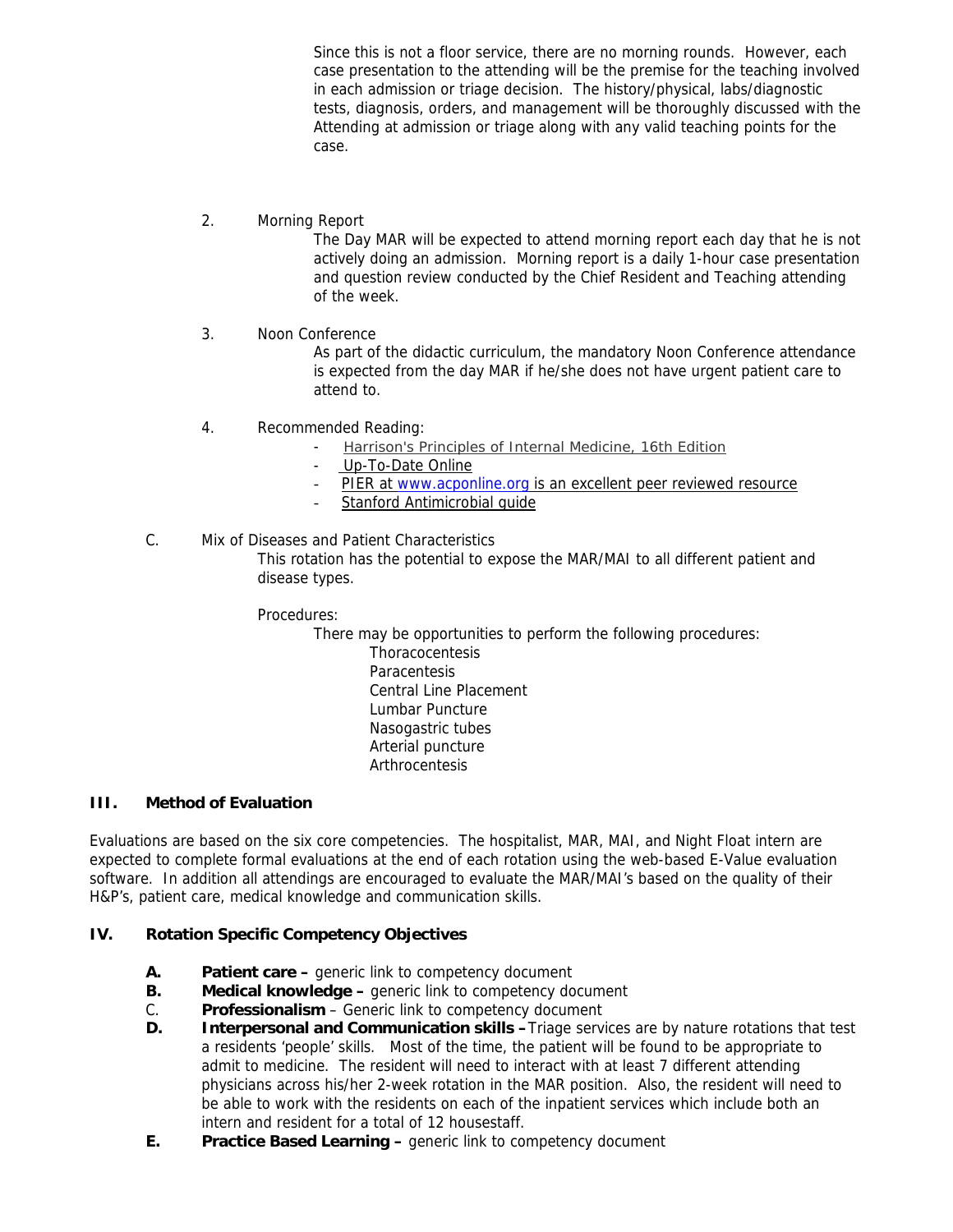Since this is not a floor service, there are no morning rounds. However, each case presentation to the attending will be the premise for the teaching involved in each admission or triage decision. The history/physical, labs/diagnostic tests, diagnosis, orders, and management will be thoroughly discussed with the Attending at admission or triage along with any valid teaching points for the case.

#### 2. Morning Report

The Day MAR will be expected to attend morning report each day that he is not actively doing an admission. Morning report is a daily 1-hour case presentation and question review conducted by the Chief Resident and Teaching attending of the week.

### 3. Noon Conference

As part of the didactic curriculum, the mandatory Noon Conference attendance is expected from the day MAR if he/she does not have urgent patient care to attend to.

- 4. Recommended Reading:
	- Harrison's Principles of Internal Medicine, 16th Edition
	- Up-To-Date Online
	- PIER at www.acponline.org is an excellent peer reviewed resource
	- Stanford Antimicrobial guide

### C. Mix of Diseases and Patient Characteristics

This rotation has the potential to expose the MAR/MAI to all different patient and disease types.

Procedures:

There may be opportunities to perform the following procedures:

 Thoracocentesis **Paracentesis**  Central Line Placement Lumbar Puncture Nasogastric tubes Arterial puncture **Arthrocentesis** 

## **III. Method of Evaluation**

Evaluations are based on the six core competencies. The hospitalist, MAR, MAI, and Night Float intern are expected to complete formal evaluations at the end of each rotation using the web-based E-Value evaluation software. In addition all attendings are encouraged to evaluate the MAR/MAI's based on the quality of their H&P's, patient care, medical knowledge and communication skills.

#### **IV. Rotation Specific Competency Objectives**

- **A. Patient care** generic link to competency document
- **B.** Medical knowledge generic link to competency document
- C. **Professionalism**  Generic link to competency document
- **D. Interpersonal and Communication skills –**Triage services are by nature rotations that test a residents 'people' skills. Most of the time, the patient will be found to be appropriate to admit to medicine. The resident will need to interact with at least 7 different attending physicians across his/her 2-week rotation in the MAR position. Also, the resident will need to be able to work with the residents on each of the inpatient services which include both an intern and resident for a total of 12 housestaff.
- **E.** Practice Based Learning generic link to competency document